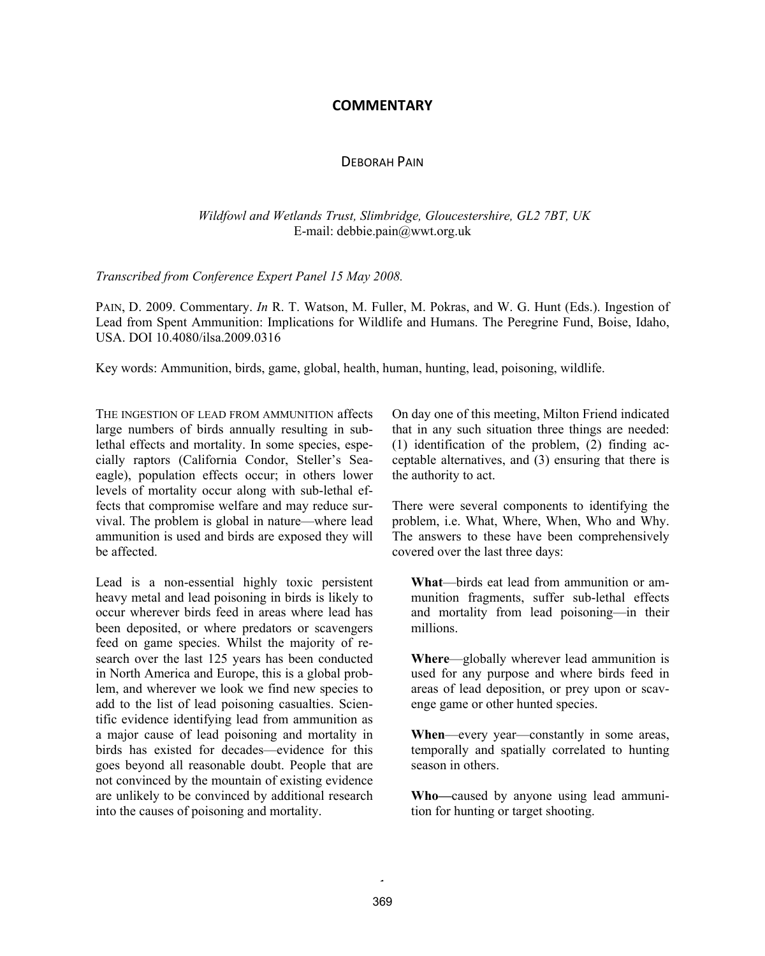## **COMMENTARY**

## DEBORAH PAIN

## *Wildfowl and Wetlands Trust, Slimbridge, Gloucestershire, GL2 7BT, UK* E-mail: debbie.[pain@wwt.org.uk](mailto:pain@wwt.org.uk)

*Transcribed from Conference Expert Panel 15 May 2008.*

PAIN, D. 2009. Commentary. *In* R. T. Watson, M. Fuller, M. Pokras, and W. G. Hunt (Eds.). Ingestion of Lead from Spent Ammunition: Implications for Wildlife and Humans. The Peregrine Fund, Boise, Idaho, USA. DOI 10.4080/ilsa.2009.0316

Key words: Ammunition, birds, game, global, health, human, hunting, lead, poisoning, wildlife.

THE INGESTION OF LEAD FROM AMMUNITION affects large numbers of birds annually resulting in sublethal effects and mortality. In some species, especially raptors (California Condor, Steller's Seaeagle), population effects occur; in others lower levels of mortality occur along with sub-lethal effects that compromise welfare and may reduce survival. The problem is global in nature—where lead ammunition is used and birds are exposed they will be affected.

Lead is a non-essential highly toxic persistent heavy metal and lead poisoning in birds is likely to occur wherever birds feed in areas where lead has been deposited, or where predators or scavengers feed on game species. Whilst the majority of research over the last 125 years has been conducted in North America and Europe, this is a global problem, and wherever we look we find new species to add to the list of lead poisoning casualties. Scientific evidence identifying lead from ammunition as a major cause of lead poisoning and mortality in birds has existed for decades—evidence for this goes beyond all reasonable doubt. People that are not convinced by the mountain of existing evidence are unlikely to be convinced by additional research into the causes of poisoning and mortality.

On day one of this meeting, Milton Friend indicated that in any such situation three things are needed: (1) identification of the problem, (2) finding acceptable alternatives, and (3) ensuring that there is the authority to act.

There were several components to identifying the problem, i.e. What, Where, When, Who and Why. The answers to these have been comprehensively covered over the last three days:

**What**—birds eat lead from ammunition or ammunition fragments, suffer sub-lethal effects and mortality from lead poisoning—in their millions.

**Where**—globally wherever lead ammunition is used for any purpose and where birds feed in areas of lead deposition, or prey upon or scavenge game or other hunted species.

**When**—every year—constantly in some areas, temporally and spatially correlated to hunting season in others.

**Who—**caused by anyone using lead ammunition for hunting or target shooting.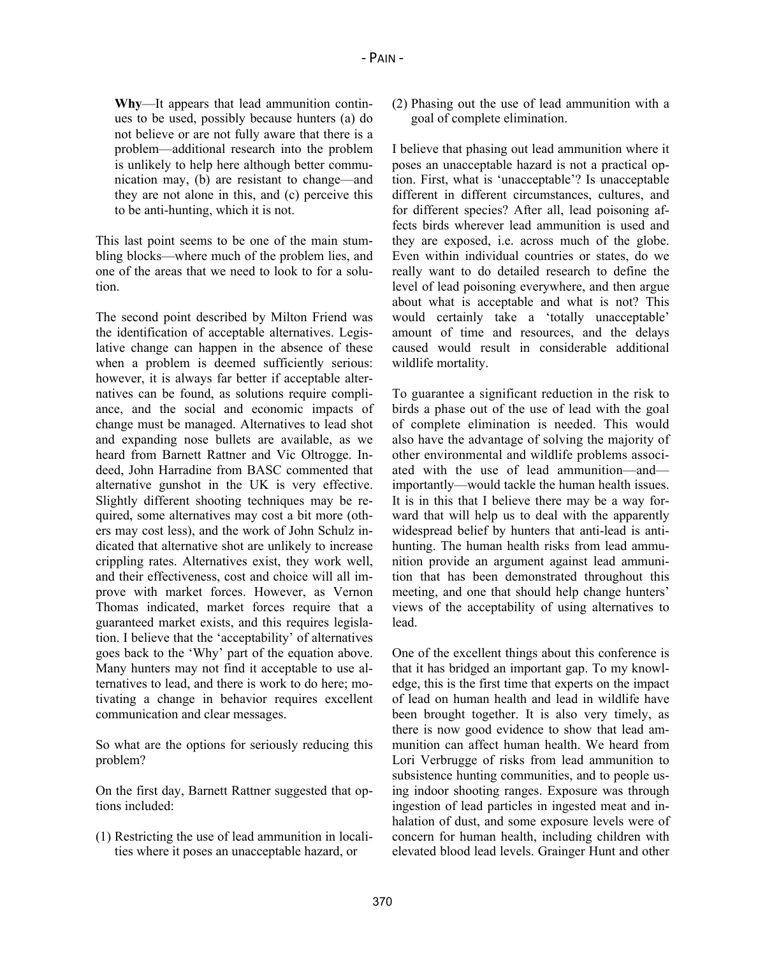**Why**—It appears that lead ammunition continues to be used, possibly because hunters (a) do not believe or are not fully aware that there is a problem—additional research into the problem is unlikely to help here although better communication may, (b) are resistant to change—and they are not alone in this, and (c) perceive this to be anti-hunting, which it is not.

This last point seems to be one of the main stumbling blocks—where much of the problem lies, and one of the areas that we need to look to for a solution.

The second point described by Milton Friend was the identification of acceptable alternatives. Legislative change can happen in the absence of these when a problem is deemed sufficiently serious: however, it is always far better if acceptable alternatives can be found, as solutions require compliance, and the social and economic impacts of change must be managed. Alternatives to lead shot and expanding nose bullets are available, as we heard from Barnett Rattner and Vic Oltrogge. Indeed, John Harradine from BASC commented that alternative gunshot in the UK is very effective. Slightly different shooting techniques may be required, some alternatives may cost a bit more (others may cost less), and the work of John Schulz indicated that alternative shot are unlikely to increase crippling rates. Alternatives exist, they work well, and their effectiveness, cost and choice will all improve with market forces. However, as Vernon Thomas indicated, market forces require that a guaranteed market exists, and this requires legislation. I believe that the 'acceptability' of alternatives goes back to the 'Why' part of the equation above. Many hunters may not find it acceptable to use alternatives to lead, and there is work to do here; motivating a change in behavior requires excellent communication and clear messages.

So what are the options for seriously reducing this problem?

On the first day, Barnett Rattner suggested that options included:

(1) Restricting the use of lead ammunition in localities where it poses an unacceptable hazard, or

(2) Phasing out the use of lead ammunition with a goal of complete elimination.

I believe that phasing out lead ammunition where it poses an unacceptable hazard is not a practical option. First, what is 'unacceptable'? Is unacceptable different in different circumstances, cultures, and for different species? After all, lead poisoning affects birds wherever lead ammunition is used and they are exposed, i.e. across much of the globe. Even within individual countries or states, do we really want to do detailed research to define the level of lead poisoning everywhere, and then argue about what is acceptable and what is not? This would certainly take a 'totally unacceptable' amount of time and resources, and the delays caused would result in considerable additional wildlife mortality.

To guarantee a significant reduction in the risk to birds a phase out of the use of lead with the goal of complete elimination is needed. This would also have the advantage of solving the majority of other environmental and wildlife problems associated with the use of lead ammunition—and importantly—would tackle the human health issues. It is in this that I believe there may be a way forward that will help us to deal with the apparently widespread belief by hunters that anti-lead is antihunting. The human health risks from lead ammunition provide an argument against lead ammunition that has been demonstrated throughout this meeting, and one that should help change hunters' views of the acceptability of using alternatives to lead.

One of the excellent things about this conference is that it has bridged an important gap. To my knowledge, this is the first time that experts on the impact of lead on human health and lead in wildlife have been brought together. It is also very timely, as there is now good evidence to show that lead ammunition can affect human health. We heard from Lori Verbrugge of risks from lead ammunition to subsistence hunting communities, and to people using indoor shooting ranges. Exposure was through ingestion of lead particles in ingested meat and inhalation of dust, and some exposure levels were of concern for human health, including children with elevated blood lead levels. Grainger Hunt and other